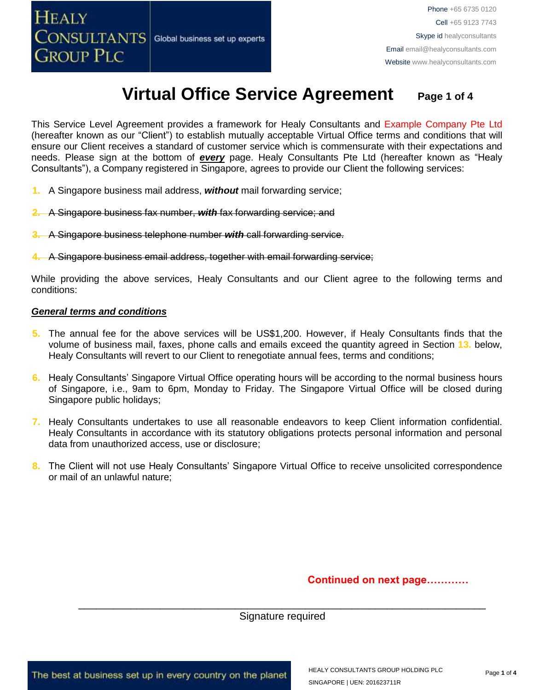# **Virtual Office Service Agreement Page 1 of 4**

This Service Level Agreement provides a framework for Healy Consultants and Example Company Pte Ltd (hereafter known as our "Client") to establish mutually acceptable Virtual Office terms and conditions that will ensure our Client receives a standard of customer service which is commensurate with their expectations and needs. Please sign at the bottom of *every* page. Healy Consultants Pte Ltd (hereafter known as "Healy Consultants"), a Company registered in Singapore, agrees to provide our Client the following services:

- **1.** A Singapore business mail address, *without* mail forwarding service;
- **2.** A Singapore business fax number, *with* fax forwarding service; and
- **3.** A Singapore business telephone number *with* call forwarding service.
- **4.** A Singapore business email address, together with email forwarding service;

While providing the above services, Healy Consultants and our Client agree to the following terms and conditions:

#### *General terms and conditions*

- **5.** The annual fee for the above services will be US\$1,200. However, if Healy Consultants finds that the volume of business mail, faxes, phone calls and emails exceed the quantity agreed in Section **13.** below, Healy Consultants will revert to our Client to renegotiate annual fees, terms and conditions;
- **6.** Healy Consultants' Singapore Virtual Office operating hours will be according to the normal business hours of Singapore, i.e., 9am to 6pm, Monday to Friday. The Singapore Virtual Office will be closed during Singapore public holidays;
- **7.** Healy Consultants undertakes to use all reasonable endeavors to keep Client information confidential. Healy Consultants in accordance with its statutory obligations protects personal information and personal data from unauthorized access, use or disclosure;
- **8.** The Client will not use Healy Consultants' Singapore Virtual Office to receive unsolicited correspondence or mail of an unlawful nature;

### **Continued on next page…………**

#### \_\_\_\_\_\_\_\_\_\_\_\_\_\_\_\_\_\_\_\_\_\_\_\_\_\_\_\_\_\_\_\_\_\_\_\_\_\_\_\_\_\_\_\_\_\_\_\_\_\_\_\_\_\_\_\_\_\_\_\_\_\_\_\_\_\_\_\_\_\_ Signature required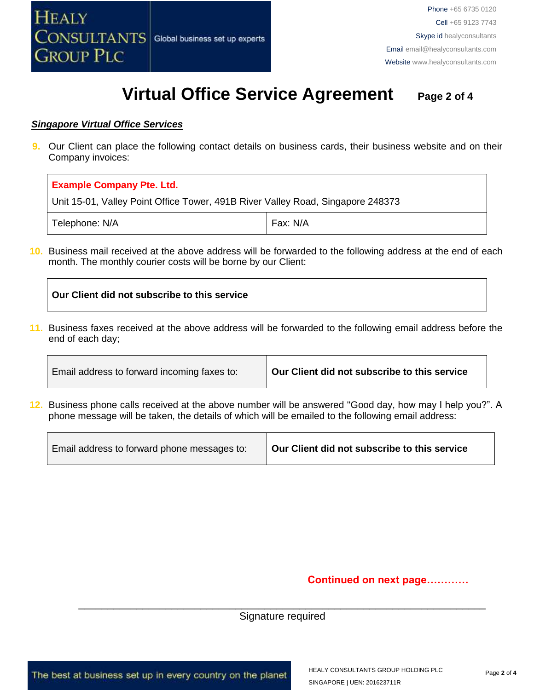

# **Virtual Office Service Agreement Page 2 of 4**

#### *Singapore Virtual Office Services*

**9.** Our Client can place the following contact details on business cards, their business website and on their Company invoices:

| <b>Example Company Pte. Ltd.</b>                                                |  |  |
|---------------------------------------------------------------------------------|--|--|
| Unit 15-01, Valley Point Office Tower, 491B River Valley Road, Singapore 248373 |  |  |
| Fax: N/A<br>Telephone: N/A                                                      |  |  |

**10.** Business mail received at the above address will be forwarded to the following address at the end of each month. The monthly courier costs will be borne by our Client:

#### **Our Client did not subscribe to this service**

**11.** Business faxes received at the above address will be forwarded to the following email address before the end of each day;

| Our Client did not subscribe to this service<br>Email address to forward incoming faxes to: |  |
|---------------------------------------------------------------------------------------------|--|
|---------------------------------------------------------------------------------------------|--|

**12.** Business phone calls received at the above number will be answered "Good day, how may I help you?". A phone message will be taken, the details of which will be emailed to the following email address:

| Email address to forward phone messages to: | Our Client did not subscribe to this service |
|---------------------------------------------|----------------------------------------------|
|---------------------------------------------|----------------------------------------------|

### **Continued on next page…………**

#### \_\_\_\_\_\_\_\_\_\_\_\_\_\_\_\_\_\_\_\_\_\_\_\_\_\_\_\_\_\_\_\_\_\_\_\_\_\_\_\_\_\_\_\_\_\_\_\_\_\_\_\_\_\_\_\_\_\_\_\_\_\_\_\_\_\_\_\_\_\_ Signature required

The best at business set up in every country on the planet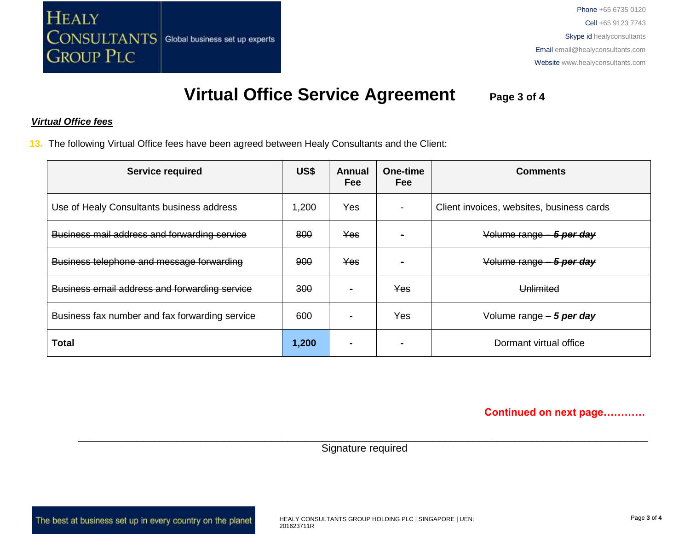

## **Virtual Office Service Agreement Page 3 of 4**

#### *Virtual Office fees*

**13.** The following Virtual Office fees have been agreed between Healy Consultants and the Client:

| <b>Service required</b>                        | US\$  | Annual<br>Fee | One-time<br><b>Fee</b> | <b>Comments</b>                           |
|------------------------------------------------|-------|---------------|------------------------|-------------------------------------------|
| Use of Healy Consultants business address      | 1,200 | Yes           |                        | Client invoices, websites, business cards |
| Business mail address and forwarding service   | 800   | <b>Yes</b>    |                        | Volume range - 5 per day                  |
| Business telephone and message forwarding      | 900   | <b>Yes</b>    |                        | Volume range - 5 per day                  |
| Business email address and forwarding service  | 300   |               | Yes                    | Unlimited                                 |
| Business fax number and fax forwarding service | 600   |               | Yes                    | Volume range - 5 per day                  |
| <b>Total</b>                                   | 1,200 |               |                        | Dormant virtual office                    |

 **Continued on next page…………**

\_\_\_\_\_\_\_\_\_\_\_\_\_\_\_\_\_\_\_\_\_\_\_\_\_\_\_\_\_\_\_\_\_\_\_\_\_\_\_\_\_\_\_\_\_\_\_\_\_\_\_\_\_\_\_\_\_\_\_\_\_\_\_\_\_\_\_\_\_\_\_\_\_\_\_\_\_\_\_\_\_\_\_\_\_\_\_\_\_\_\_\_\_\_\_\_\_\_ Signature required